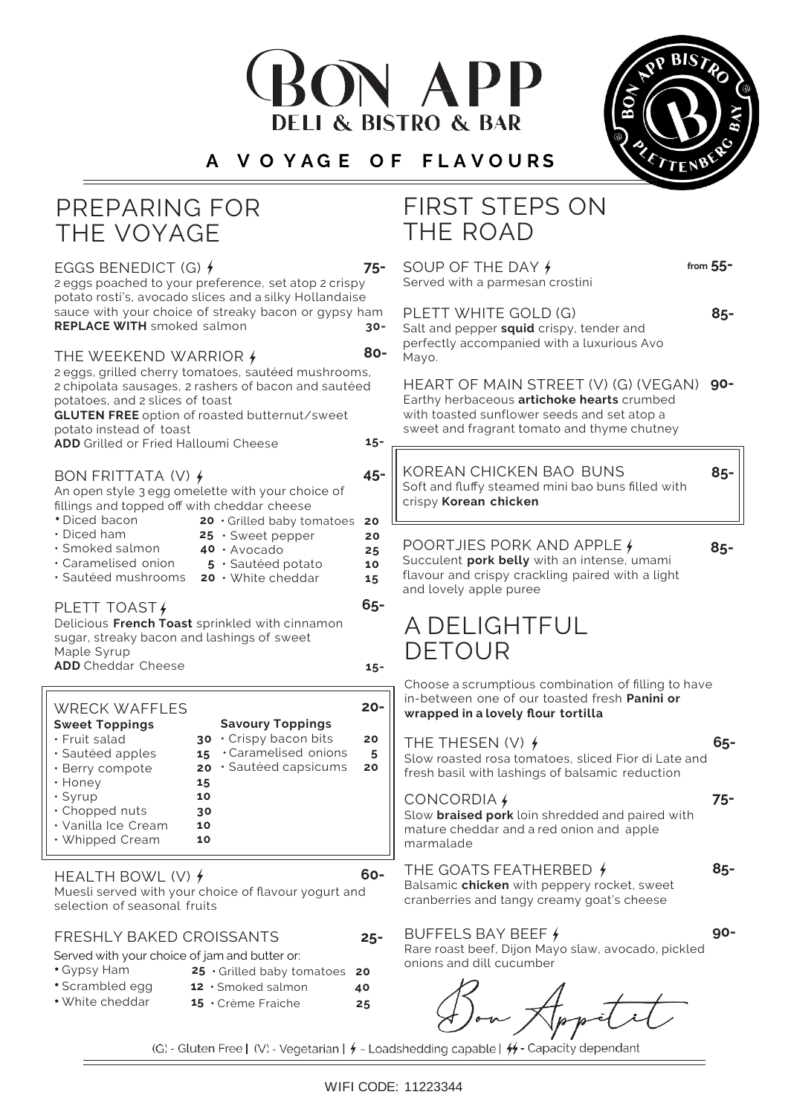# N APP **I & BISTRO & BAR**

#### **A V O Y A G E O F F L A V O U R S**



 $\overline{C}$  BENEDICT (G)

| EGGS BENEDICT (G) 1<br>2 eggs poached to your preference, set atop 2 crispy<br>potato rosti's, avocado slices and a silky Hollandaise                                                                                             | 75-                  | SUU<br>Serve                                |
|-----------------------------------------------------------------------------------------------------------------------------------------------------------------------------------------------------------------------------------|----------------------|---------------------------------------------|
| sauce with your choice of streaky bacon or gypsy ham<br><b>REPLACE WITH</b> smoked salmon                                                                                                                                         | $30 -$               | <b>PLET</b><br>Salt a                       |
| THE WEEKEND WARRIOR $\oint$                                                                                                                                                                                                       | 80-                  | perfe<br>Mayo                               |
| 2 eggs, grilled cherry tomatoes, sautéed mushrooms,<br>2 chipolata sausages, 2 rashers of bacon and sautéed<br>potatoes, and 2 slices of toast<br><b>GLUTEN FREE</b> option of roasted butternut/sweet<br>potato instead of toast |                      | HEA<br>Earth<br>with t<br>swee <sup>®</sup> |
| <b>ADD</b> Grilled or Fried Halloumi Cheese                                                                                                                                                                                       | $15 -$               |                                             |
| BON FRITTATA (V) $\frac{1}{2}$<br>An open style 3 egg omelette with your choice of<br>fillings and topped off with cheddar cheese<br>• Diced bacon<br>20 Grilled baby tomatoes                                                    | 45-<br>20            | <b>KOR</b><br>Soft a<br>crispy              |
| $\cdot$ Diced ham<br>$25 \cdot$ Sweet pepper<br>$\cdot$ Smoked salmon-<br>40 · Avocado<br>· Caramelised onion<br>5 · Sautéed potato<br>· Sautéed mushrooms<br>20 · White cheddar                                                  | 20<br>25<br>10<br>15 | POO<br>Succu<br>flavou<br>and lo            |
| PLETT TOAST /<br>Delicious French Toast sprinkled with cinnamon<br>sugar, streaky bacon and lashings of sweet<br>Maple Syrup<br><b>ADD</b> Cheddar Cheese                                                                         | 65-<br>$15 -$        | ΑL                                          |
|                                                                                                                                                                                                                                   |                      | Choo                                        |

| <b>WRECK WAFFLES</b>  |    |                              |    |
|-----------------------|----|------------------------------|----|
| <b>Sweet Toppings</b> |    | <b>Savoury Toppings</b>      |    |
| $\cdot$ Fruit salad   |    | $30 \cdot$ Crispy bacon bits | 20 |
| · Sautéed apples      | 15 | · Caramelised onions         | 5  |
| · Berry compote       |    | $20 \cdot$ Sautéed capsicums | 20 |
| $\cdot$ Honey         | 15 |                              |    |
| $\cdot$ Syrup         | 10 |                              |    |
| · Chopped nuts        | 30 |                              |    |
| • Vanilla Ice Cream   | 10 |                              |    |
| $\cdot$ Whipped Cream | 10 |                              |    |
|                       |    |                              |    |

#### HEALTH BOWL (V)  $\frac{1}{2}$

Muesli served with your choice of flavour yogurt and selection of seasonal fruits

#### FRESHLY BAKED CROISSANTS

Served with your choice of jam and butter or:

- 
- Gypsy Ham **25**  Grilled baby tomatoes **<sup>20</sup>**
- Scrambled egg **<sup>12</sup>** Smoked salmon **<sup>40</sup>** • White cheddar **<sup>15</sup>** • Crème Fraiche **<sup>25</sup>**

# FIRST STEPS ON THE ROAD

**75-** SOUP OF THE DAY ed with a parmesan crostini **from 55-**

**85-**

**FT WHITE GOLD (G)** Ind pepper **squid** crispy, tender and ctly accompanied with a luxurious Avo Mayo.

**90-** HEART OF MAIN STREET (V) (G) (VEGAN) Earthy herbaceous **artichoke hearts** crumbed oasted sunflower seeds and set atop a t and fragrant tomato and thyme chutney

EAN CHICKEN BAO BUNS and fluffy steamed mini bao buns filled with crispy **Korean chicken**

## RTJIES PORK AND APPLE  $\frac{1}{2}$

**85-**

**85-**

**90-**

**75-**

**85-**

alent **pork belly** with an intense, umami ar and crispy crackling paired with a light bvely apple puree

# **DELIGHTFUL** TOUR

se a scrumptious combination of filling to have in-between one of our toasted fresh **Panini or wrapped in a lovely flour tortilla**

#### THE THESEN (V)  $\neq$

Slow roasted rosa tomatoes, sliced Fior di Late and fresh basil with lashings of balsamic reduction **65-**

### CONCORDIA

Slow **braised pork** loin shredded and paired with mature cheddar and a red onion and apple marmalade

#### THE GOATS FEATHERBED  $\overline{t}$

Balsamic **chicken** with peppery rocket, sweet cranberries and tangy creamy goat's cheese

#### BUFFELS BAY BEEF

Rare roast beef, Dijon Mayo slaw, avocado, pickled onions and dill cucumber

(G) - Gluten Free | (V) - Vegetarian |  $\neq$  - Loadshedding capable |  $\neq$  - Capacity dependant

**60-**

**25-**

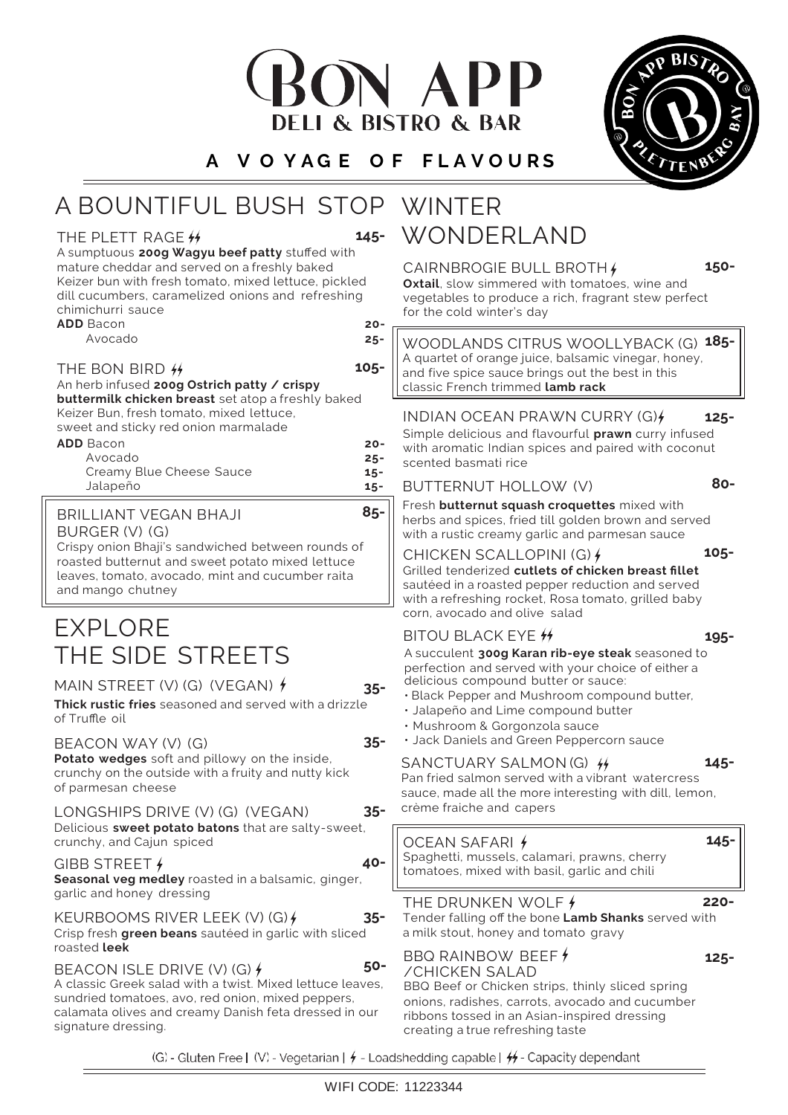# ON APP **DELI & BISTRO & BAR**

**A V O Y A G E O F F L A V O U R S**

# A BOUNTIFUL BUSH STOP WINTER

#### THE PLETT RAGE  $#$

WONDERLAND **145-**

**105-**

**85-**

A sumptuous **200g Wagyu beef patty** stuffed with mature cheddar and served on a freshly baked Keizer bun with fresh tomato, mixed lettuce, pickled dill cucumbers, caramelized onions and refreshing chimichurri sauce

**ADD** Bacon **20-**

Avocado **25-**

#### THE BON BIRD  $#$

An herb infused **200g Ostrich patty / crispy** 

**buttermilk chicken breast** set atop a freshly baked Keizer Bun, fresh tomato, mixed lettuce,

sweet and sticky red onion marmalade

| <b>ADD</b> Bacon         | $20 -$ |
|--------------------------|--------|
| Avocado                  | $25 -$ |
| Creamy Blue Cheese Sauce | $15 -$ |
| Jalapeño                 | $15 -$ |

#### BRILLIANT VEGAN BHAJI

BURGER (V) (G)

Crispy onion Bhaji's sandwiched between rounds of roasted butternut and sweet potato mixed lettuce leaves, tomato, avocado, mint and cucumber raita and mango chutney

# EXPLORE THE SIDE STREETS

# MAIN STREET (V) (G) (VEGAN)  $\oint$

**35-**

**35-**

**Thick rustic fries** seasoned and served with a drizzle of Truffle oil

BEACON WAY (V) (G)

**Potato wedges** soft and pillowy on the inside, crunchy on the outside with a fruity and nutty kick of parmesan cheese

LONGSHIPS DRIVE (V) (G) (VEGAN) Delicious **sweet potato batons** that are salty-sweet, crunchy, and Cajun spiced

GIBB STREET  $\frac{1}{2}$ **Seasonal veg medley** roasted in a balsamic, ginger, garlic and honey dressing

KEURBOOMS RIVER LEEK (V) (G) Crisp fresh **green beans** sautéed in garlic with sliced roasted **leek**

BEACON ISLE DRIVE (V) (G)  $\neq$ A classic Greek salad with a twist. Mixed lettuce leaves, sundried tomatoes, avo, red onion, mixed peppers, calamata olives and creamy Danish feta dressed in our signature dressing.

(G) - Gluten Free | (V) - Vegetarian |  $\neq$  - Loadshedding capable |  $\neq$  - Capacity dependant

#### ribbons tossed in an Asian-inspired dressing creating a true refreshing taste

A succulent **300g Karan rib-eye steak** seasoned to perfection and served with your choice of either a delicious compound butter or sauce: BITOU BLACK EYE  $#$  **195-**

• Black Pepper and Mushroom compound butter,

Fresh **butternut squash croquettes** mixed with herbs and spices, fried till golden brown and served with a rustic creamy garlic and parmesan sauce

Grilled tenderized **cutlets of chicken breast fillet**  sautéed in a roasted pepper reduction and served with a refreshing rocket, Rosa tomato, grilled baby

WOODLANDS CITRUS WOOLLYBACK (G) **185-** A quartet of orange juice, balsamic vinegar, honey, and five spice sauce brings out the best in this

INDIAN OCEAN PRAWN CURRY (G)**{** 125-Simple delicious and flavourful **prawn** curry infused with aromatic Indian spices and paired with coconut

**Oxtail**, slow simmered with tomatoes, wine and vegetables to produce a rich, fragrant stew perfect

• Jalapeño and Lime compound butter

BUTTERNUT HOLLOW (V)

scented basmati rice

CHICKEN SCALLOPINI (G)

corn, avocado and olive salad

classic French trimmed **lamb rack**

CAIRNBROGIE BULL BROTH

for the cold winter's day

- Mushroom & Gorgonzola sauce
- Jack Daniels and Green Peppercorn sauce

### SANCTUARY SALMON (G) **145-**

Pan fried salmon served with a vibrant watercress sauce, made all the more interesting with dill, lemon, crème fraiche and capers

**35- 40-** OCEAN SAFARI Spaghetti, mussels, calamari, prawns, cherry tomatoes, mixed with basil, garlic and chili

| JARY SALMON (G) 44                       |
|------------------------------------------|
| almon served with a vibrant  watercr     |
| de all the more interesting with dill, I |
| che and capers                           |





**105-**

**80-**

**150-**